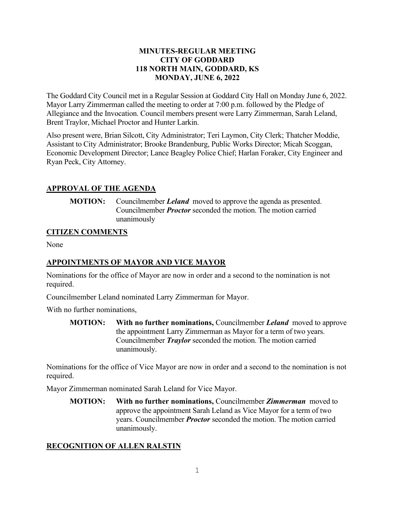#### **MINUTES-REGULAR MEETING CITY OF GODDARD 118 NORTH MAIN, GODDARD, KS MONDAY, JUNE 6, 2022**

The Goddard City Council met in a Regular Session at Goddard City Hall on Monday June 6, 2022. Mayor Larry Zimmerman called the meeting to order at 7:00 p.m. followed by the Pledge of Allegiance and the Invocation. Council members present were Larry Zimmerman, Sarah Leland, Brent Traylor, Michael Proctor and Hunter Larkin.

Also present were, Brian Silcott, City Administrator; Teri Laymon, City Clerk; Thatcher Moddie, Assistant to City Administrator; Brooke Brandenburg, Public Works Director; Micah Scoggan, Economic Development Director; Lance Beagley Police Chief; Harlan Foraker, City Engineer and Ryan Peck, City Attorney.

## **APPROVAL OF THE AGENDA**

**MOTION:** Councilmember *Leland* moved to approve the agenda as presented. Councilmember *Proctor* seconded the motion. The motion carried unanimously

## **CITIZEN COMMENTS**

None

## **APPOINTMENTS OF MAYOR AND VICE MAYOR**

Nominations for the office of Mayor are now in order and a second to the nomination is not required.

Councilmember Leland nominated Larry Zimmerman for Mayor.

With no further nominations,

**MOTION: With no further nominations,** Councilmember *Leland* moved to approve the appointment Larry Zimmerman as Mayor for a term of two years. Councilmember *Traylor* seconded the motion. The motion carried unanimously.

Nominations for the office of Vice Mayor are now in order and a second to the nomination is not required.

Mayor Zimmerman nominated Sarah Leland for Vice Mayor.

**MOTION: With no further nominations,** Councilmember *Zimmerman* moved to approve the appointment Sarah Leland as Vice Mayor for a term of two years. Councilmember *Proctor* seconded the motion. The motion carried unanimously.

## **RECOGNITION OF ALLEN RALSTIN**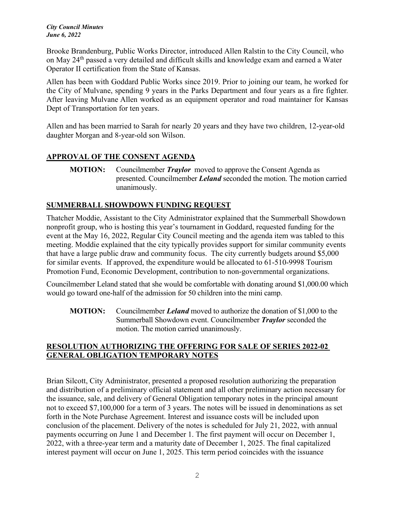*City Council Minutes June 6, 2022*

Brooke Brandenburg, Public Works Director, introduced Allen Ralstin to the City Council, who on May 24<sup>th</sup> passed a very detailed and difficult skills and knowledge exam and earned a Water Operator II certification from the State of Kansas.

Allen has been with Goddard Public Works since 2019. Prior to joining our team, he worked for the City of Mulvane, spending 9 years in the Parks Department and four years as a fire fighter. After leaving Mulvane Allen worked as an equipment operator and road maintainer for Kansas Dept of Transportation for ten years.

Allen and has been married to Sarah for nearly 20 years and they have two children, 12-year-old daughter Morgan and 8-year-old son Wilson.

## **APPROVAL OF THE CONSENT AGENDA**

## **SUMMERBALL SHOWDOWN FUNDING REQUEST**

Thatcher Moddie, Assistant to the City Administrator explained that the Summerball Showdown nonprofit group, who is hosting this year's tournament in Goddard, requested funding for the event at the May 16, 2022, Regular City Council meeting and the agenda item was tabled to this meeting. Moddie explained that the city typically provides support for similar community events that have a large public draw and community focus. The city currently budgets around \$5,000 for similar events. If approved, the expenditure would be allocated to 61-510-9998 Tourism Promotion Fund, Economic Development, contribution to non-governmental organizations.

Councilmember Leland stated that she would be comfortable with donating around \$1,000.00 which would go toward one-half of the admission for 50 children into the mini camp.

**MOTION:** Councilmember *Leland* moved to authorize the donation of \$1,000 to the Summerball Showdown event. Councilmember *Traylor* seconded the motion. The motion carried unanimously.

## **RESOLUTION AUTHORIZING THE OFFERING FOR SALE OF SERIES 2022-02 GENERAL OBLIGATION TEMPORARY NOTES**

Brian Silcott, City Administrator, presented a proposed resolution authorizing the preparation and distribution of a preliminary official statement and all other preliminary action necessary for the issuance, sale, and delivery of General Obligation temporary notes in the principal amount not to exceed \$7,100,000 for a term of 3 years. The notes will be issued in denominations as set forth in the Note Purchase Agreement. Interest and issuance costs will be included upon conclusion of the placement. Delivery of the notes is scheduled for July 21, 2022, with annual payments occurring on June 1 and December 1. The first payment will occur on December 1, 2022, with a three-year term and a maturity date of December 1, 2025. The final capitalized interest payment will occur on June 1, 2025. This term period coincides with the issuance

**MOTION:** Councilmember *Traylor* moved to approve the Consent Agenda as presented. Councilmember *Leland* seconded the motion. The motion carried unanimously.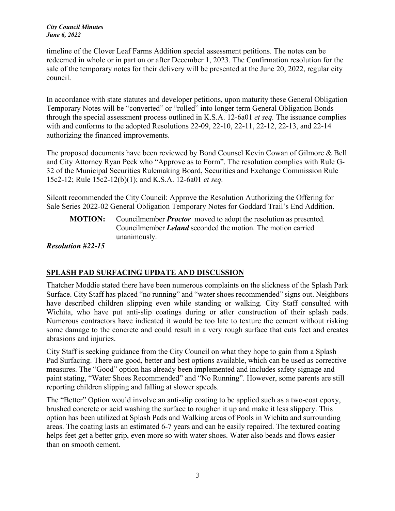*City Council Minutes June 6, 2022*

timeline of the Clover Leaf Farms Addition special assessment petitions. The notes can be redeemed in whole or in part on or after December 1, 2023. The Confirmation resolution for the sale of the temporary notes for their delivery will be presented at the June 20, 2022, regular city council.

In accordance with state statutes and developer petitions, upon maturity these General Obligation Temporary Notes will be "converted" or "rolled" into longer term General Obligation Bonds through the special assessment process outlined in K.S.A. 12-6a01 *et seq.* The issuance complies with and conforms to the adopted Resolutions 22-09, 22-10, 22-11, 22-12, 22-13, and 22-14 authorizing the financed improvements.

The proposed documents have been reviewed by Bond Counsel Kevin Cowan of Gilmore & Bell and City Attorney Ryan Peck who "Approve as to Form". The resolution complies with Rule G-32 of the Municipal Securities Rulemaking Board, Securities and Exchange Commission Rule 15c2-12; Rule 15c2-12(b)(1); and K.S.A. 12-6a01 *et seq.* 

Silcott recommended the City Council: Approve the Resolution Authorizing the Offering for Sale Series 2022-02 General Obligation Temporary Notes for Goddard Trail's End Addition.

**MOTION:** Councilmember *Proctor* moved to adopt the resolution as presented. Councilmember *Leland* seconded the motion. The motion carried unanimously.

*Resolution #22-15*

## **SPLASH PAD SURFACING UPDATE AND DISCUSSION**

Thatcher Moddie stated there have been numerous complaints on the slickness of the Splash Park Surface. City Staff has placed "no running" and "water shoes recommended" signs out. Neighbors have described children slipping even while standing or walking. City Staff consulted with Wichita, who have put anti-slip coatings during or after construction of their splash pads. Numerous contractors have indicated it would be too late to texture the cement without risking some damage to the concrete and could result in a very rough surface that cuts feet and creates abrasions and injuries.

City Staff is seeking guidance from the City Council on what they hope to gain from a Splash Pad Surfacing. There are good, better and best options available, which can be used as corrective measures. The "Good" option has already been implemented and includes safety signage and paint stating, "Water Shoes Recommended" and "No Running". However, some parents are still reporting children slipping and falling at slower speeds.

The "Better" Option would involve an anti-slip coating to be applied such as a two-coat epoxy, brushed concrete or acid washing the surface to roughen it up and make it less slippery. This option has been utilized at Splash Pads and Walking areas of Pools in Wichita and surrounding areas. The coating lasts an estimated 6-7 years and can be easily repaired. The textured coating helps feet get a better grip, even more so with water shoes. Water also beads and flows easier than on smooth cement.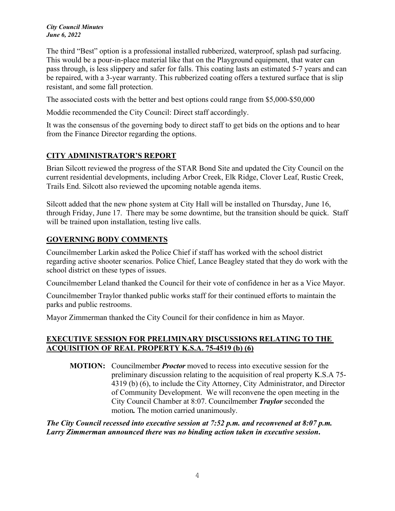#### *City Council Minutes June 6, 2022*

The third "Best" option is a professional installed rubberized, waterproof, splash pad surfacing. This would be a pour-in-place material like that on the Playground equipment, that water can pass through, is less slippery and safer for falls. This coating lasts an estimated 5-7 years and can be repaired, with a 3-year warranty. This rubberized coating offers a textured surface that is slip resistant, and some fall protection.

The associated costs with the better and best options could range from \$5,000-\$50,000

Moddie recommended the City Council: Direct staff accordingly.

It was the consensus of the governing body to direct staff to get bids on the options and to hear from the Finance Director regarding the options.

# **CITY ADMINISTRATOR'S REPORT**

Brian Silcott reviewed the progress of the STAR Bond Site and updated the City Council on the current residential developments, including Arbor Creek, Elk Ridge, Clover Leaf, Rustic Creek, Trails End. Silcott also reviewed the upcoming notable agenda items.

Silcott added that the new phone system at City Hall will be installed on Thursday, June 16, through Friday, June 17. There may be some downtime, but the transition should be quick. Staff will be trained upon installation, testing live calls.

# **GOVERNING BODY COMMENTS**

Councilmember Larkin asked the Police Chief if staff has worked with the school district regarding active shooter scenarios. Police Chief, Lance Beagley stated that they do work with the school district on these types of issues.

Councilmember Leland thanked the Council for their vote of confidence in her as a Vice Mayor.

Councilmember Traylor thanked public works staff for their continued efforts to maintain the parks and public restrooms.

Mayor Zimmerman thanked the City Council for their confidence in him as Mayor.

## **EXECUTIVE SESSION FOR PRELIMINARY DISCUSSIONS RELATING TO THE ACQUISITION OF REAL PROPERTY K.S.A. 75-4519 (b) (6)**

**MOTION:** Councilmember *Proctor* moved to recess into executive session for the preliminary discussion relating to the acquisition of real property K.S.A 75- 4319 (b) (6), to include the City Attorney, City Administrator, and Director of Community Development. We will reconvene the open meeting in the City Council Chamber at 8:07. Councilmember *Traylor* seconded the motion*.* The motion carried unanimously.

## *The City Council recessed into executive session at 7:52 p.m. and reconvened at 8:07 p.m. Larry Zimmerman announced there was no binding action taken in executive session***.**